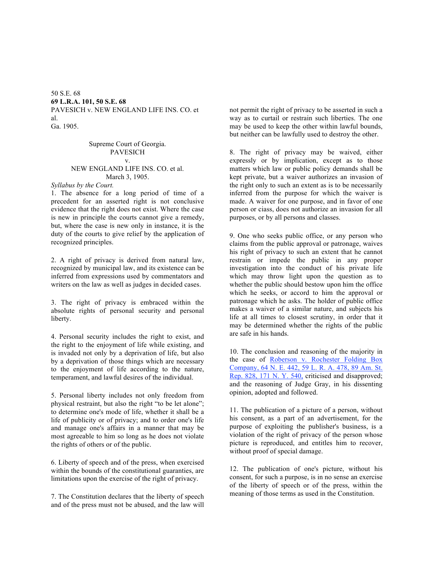50 S.E. 68 **69 L.R.A. 101, 50 S.E. 68** PAVESICH v. NEW ENGLAND LIFE INS. CO. et al. Ga. 1905.

## Supreme Court of Georgia. PAVESICH v. NEW ENGLAND LIFE INS. CO. et al. March 3, 1905.

## *Syllabus by the Court.*

1. The absence for a long period of time of a precedent for an asserted right is not conclusive evidence that the right does not exist. Where the case is new in principle the courts cannot give a remedy, but, where the case is new only in instance, it is the duty of the courts to give relief by the application of recognized principles.

2. A right of privacy is derived from natural law, recognized by municipal law, and its existence can be inferred from expressions used by commentators and writers on the law as well as judges in decided cases.

3. The right of privacy is embraced within the absolute rights of personal security and personal liberty.

4. Personal security includes the right to exist, and the right to the enjoyment of life while existing, and is invaded not only by a deprivation of life, but also by a deprivation of those things which are necessary to the enjoyment of life according to the nature, temperament, and lawful desires of the individual.

5. Personal liberty includes not only freedom from physical restraint, but also the right "to be let alone"; to determine one's mode of life, whether it shall be a life of publicity or of privacy; and to order one's life and manage one's affairs in a manner that may be most agreeable to him so long as he does not violate the rights of others or of the public.

6. Liberty of speech and of the press, when exercised within the bounds of the constitutional guaranties, are limitations upon the exercise of the right of privacy.

7. The Constitution declares that the liberty of speech and of the press must not be abused, and the law will not permit the right of privacy to be asserted in such a way as to curtail or restrain such liberties. The one may be used to keep the other within lawful bounds, but neither can be lawfully used to destroy the other.

8. The right of privacy may be waived, either expressly or by implication, except as to those matters which law or public policy demands shall be kept private, but a waiver authorizes an invasion of the right only to such an extent as is to be necessarily inferred from the purpose for which the waiver is made. A waiver for one purpose, and in favor of one person or ciass, does not authorize an invasion for all purposes, or by all persons and classes.

9. One who seeks public office, or any person who claims from the public approval or patronage, waives his right of privacy to such an extent that he cannot restrain or impede the public in any proper investigation into the conduct of his private life which may throw light upon the question as to whether the public should bestow upon him the office which he seeks, or accord to him the approval or patronage which he asks. The holder of public office makes a waiver of a similar nature, and subjects his life at all times to closest scrutiny, in order that it may be determined whether the rights of the public are safe in his hands.

10. The conclusion and reasoning of the majority in the case of Roberson v. Rochester Folding Box Company, 64 N. E. 442, 59 L. R. A. 478, 89 Am. St. Rep. 828, 171 N. Y. 540, criticised and disapproved; and the reasoning of Judge Gray, in his dissenting opinion, adopted and followed.

11. The publication of a picture of a person, without his consent, as a part of an advertisement, for the purpose of exploiting the publisher's business, is a violation of the right of privacy of the person whose picture is reproduced, and entitles him to recover, without proof of special damage.

12. The publication of one's picture, without his consent, for such a purpose, is in no sense an exercise of the liberty of speech or of the press, within the meaning of those terms as used in the Constitution.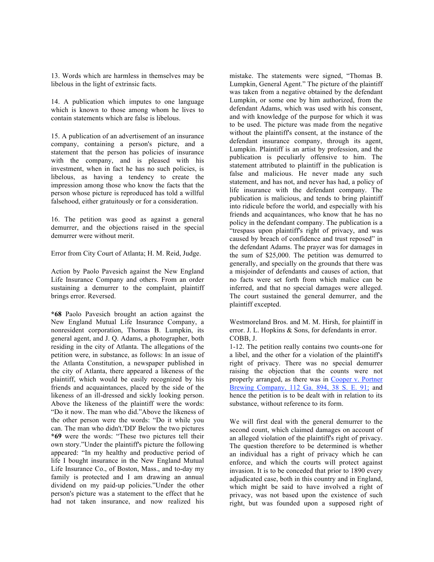13. Words which are harmless in themselves may be libelous in the light of extrinsic facts.

14. A publication which imputes to one language which is known to those among whom he lives to contain statements which are false is libelous.

15. A publication of an advertisement of an insurance company, containing a person's picture, and a statement that the person has policies of insurance with the company, and is pleased with his investment, when in fact he has no such policies, is libelous, as having a tendency to create the impression among those who know the facts that the person whose picture is reproduced has told a willful falsehood, either gratuitously or for a consideration.

16. The petition was good as against a general demurrer, and the objections raised in the special demurrer were without merit.

Error from City Court of Atlanta; H. M. Reid, Judge.

Action by Paolo Pavesich against the New England Life Insurance Company and others. From an order sustaining a demurrer to the complaint, plaintiff brings error. Reversed.

**\*68** Paolo Pavesich brought an action against the New England Mutual Life Insurance Company, a nonresident corporation, Thomas B. Lumpkin, its general agent, and J. Q. Adams, a photographer, both residing in the city of Atlanta. The allegations of the petition were, in substance, as follows: In an issue of the Atlanta Constitution, a newspaper published in the city of Atlanta, there appeared a likeness of the plaintiff, which would be easily recognized by his friends and acquaintances, placed by the side of the likeness of an ill-dressed and sickly looking person. Above the likeness of the plaintiff were the words: "Do it now. The man who did."Above the likeness of the other person were the words: "Do it while you can. The man who didn't.'DD' Below the two pictures **\*69** were the words: "These two pictures tell their own story."Under the plaintiff's picture the following appeared: "In my healthy and productive period of life I bought insurance in the New England Mutual Life Insurance Co., of Boston, Mass., and to-day my family is protected and I am drawing an annual dividend on my paid-up policies."Under the other person's picture was a statement to the effect that he had not taken insurance, and now realized his

mistake. The statements were signed, "Thomas B. Lumpkin, General Agent." The picture of the plaintiff was taken from a negative obtained by the defendant Lumpkin, or some one by him authorized, from the defendant Adams, which was used with his consent, and with knowledge of the purpose for which it was to be used. The picture was made from the negative without the plaintiff's consent, at the instance of the defendant insurance company, through its agent, Lumpkin. Plaintiff is an artist by profession, and the publication is peculiarly offensive to him. The statement attributed to plaintiff in the publication is false and malicious. He never made any such statement, and has not, and never has had, a policy of life insurance with the defendant company. The publication is malicious, and tends to bring plaintiff into ridicule before the world, and especially with his friends and acquaintances, who know that he has no policy in the defendant company. The publication is a "trespass upon plaintiff's right of privacy, and was caused by breach of confidence and trust reposed" in the defendant Adams. The prayer was for damages in the sum of \$25,000. The petition was demurred to generally, and specially on the grounds that there was a misjoinder of defendants and causes of action, that no facts were set forth from which malice can be inferred, and that no special damages were alleged. The court sustained the general demurrer, and the plaintiff excepted.

Westmoreland Bros. and M. M. Hirsh, for plaintiff in error. J. L. Hopkins & Sons, for defendants in error. COBB, J.

1-12. The petition really contains two counts-one for a libel, and the other for a violation of the plaintiff's right of privacy. There was no special demurrer raising the objection that the counts were not properly arranged, as there was in Cooper v. Portner Brewing Company, 112 Ga. 894, 38 S. E. 91; and hence the petition is to be dealt with in relation to its substance, without reference to its form.

We will first deal with the general demurrer to the second count, which claimed damages on account of an alleged violation of the plaintiff's right of privacy. The question therefore to be determined is whether an individual has a right of privacy which he can enforce, and which the courts will protect against invasion. It is to be conceded that prior to 1890 every adjudicated case, both in this country and in England, which might be said to have involved a right of privacy, was not based upon the existence of such right, but was founded upon a supposed right of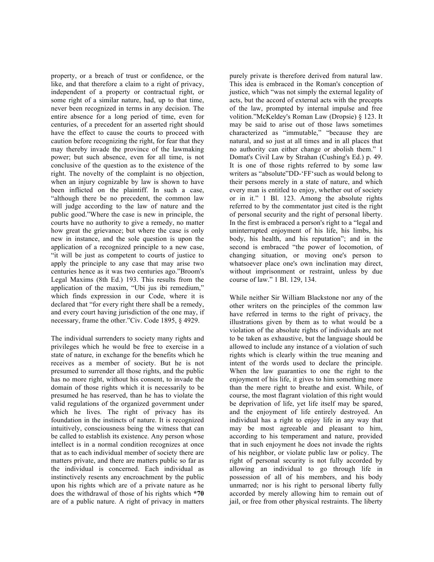property, or a breach of trust or confidence, or the like, and that therefore a claim to a right of privacy, independent of a property or contractual right, or some right of a similar nature, had, up to that time, never been recognized in terms in any decision. The entire absence for a long period of time, even for centuries, of a precedent for an asserted right should have the effect to cause the courts to proceed with caution before recognizing the right, for fear that they may thereby invade the province of the lawmaking power; but such absence, even for all time, is not conclusive of the question as to the existence of the right. The novelty of the complaint is no objection, when an injury cognizable by law is shown to have been inflicted on the plaintiff. In such a case, "although there be no precedent, the common law will judge according to the law of nature and the public good."Where the case is new in principle, the courts have no authority to give a remedy, no matter how great the grievance; but where the case is only new in instance, and the sole question is upon the application of a recognized principle to a new case, "it will be just as competent to courts of justice to apply the principle to any case that may arise two centuries hence as it was two centuries ago."Broom's Legal Maxims (8th Ed.) 193. This results from the application of the maxim, "Ubi jus ibi remedium," which finds expression in our Code, where it is declared that "for every right there shall be a remedy, and every court having jurisdiction of the one may, if necessary, frame the other."Civ. Code 1895, § 4929.

The individual surrenders to society many rights and privileges which he would be free to exercise in a state of nature, in exchange for the benefits which he receives as a member of society. But he is not presumed to surrender all those rights, and the public has no more right, without his consent, to invade the domain of those rights which it is necessarily to be presumed he has reserved, than he has to violate the valid regulations of the organized government under which he lives. The right of privacy has its foundation in the instincts of nature. It is recognized intuitively, consciousness being the witness that can be called to establish its existence. Any person whose intellect is in a normal condition recognizes at once that as to each individual member of society there are matters private, and there are matters public so far as the individual is concerned. Each individual as instinctively resents any encroachment by the public upon his rights which are of a private nature as he does the withdrawal of those of his rights which **\*70** are of a public nature. A right of privacy in matters

purely private is therefore derived from natural law. This idea is embraced in the Roman's conception of justice, which "was not simply the external legality of acts, but the accord of external acts with the precepts of the law, prompted by internal impulse and free volition."McKeldey's Roman Law (Dropsie) § 123. It may be said to arise out of those laws sometimes characterized as "immutable," "because they are natural, and so just at all times and in all places that no authority can either change or abolish them." 1 Domat's Civil Law by Strahan (Cushing's Ed.) p. 49. It is one of those rights referred to by some law writers as "absolute"DD-'FF'such as would belong to their persons merely in a state of nature, and which every man is entitled to enjoy, whether out of society or in it." 1 Bl. 123. Among the absolute rights referred to by the commentator just cited is the right of personal security and the right of personal liberty. In the first is embraced a person's right to a "legal and uninterrupted enjoyment of his life, his limbs, his body, his health, and his reputation"; and in the second is embraced "the power of locomotion, of changing situation, or moving one's person to whatsoever place one's own inclination may direct, without imprisonment or restraint, unless by due course of law." 1 Bl. 129, 134.

While neither Sir William Blackstone nor any of the other writers on the principles of the common law have referred in terms to the right of privacy, the illustrations given by them as to what would be a violation of the absolute rights of individuals are not to be taken as exhaustive, but the language should be allowed to include any instance of a violation of such rights which is clearly within the true meaning and intent of the words used to declare the principle. When the law guaranties to one the right to the enjoyment of his life, it gives to him something more than the mere right to breathe and exist. While, of course, the most flagrant violation of this right would be deprivation of life, yet life itself may be spared, and the enjoyment of life entirely destroyed. An individual has a right to enjoy life in any way that may be most agreeable and pleasant to him, according to his temperament and nature, provided that in such enjoyment he does not invade the rights of his neighbor, or violate public law or policy. The right of personal security is not fully accorded by allowing an individual to go through life in possession of all of his members, and his body unmarred; nor is his right to personal liberty fully accorded by merely allowing him to remain out of jail, or free from other physical restraints. The liberty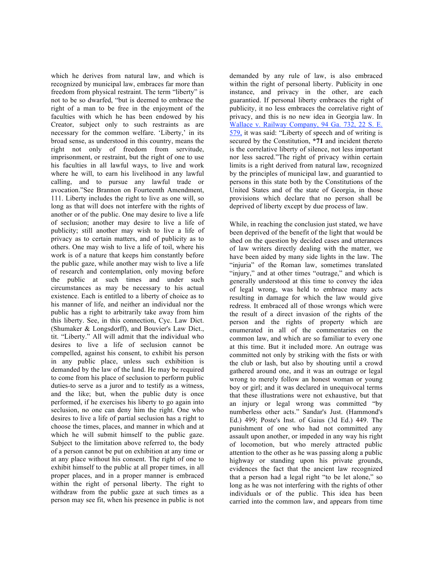which he derives from natural law, and which is recognized by municipal law, embraces far more than freedom from physical restraint. The term "liberty" is not to be so dwarfed, "but is deemed to embrace the right of a man to be free in the enjoyment of the faculties with which he has been endowed by his Creator, subject only to such restraints as are necessary for the common welfare. 'Liberty,' in its broad sense, as understood in this country, means the right not only of freedom from servitude, imprisonment, or restraint, but the right of one to use his faculties in all lawful ways, to live and work where he will, to earn his livelihood in any lawful calling, and to pursue any lawful trade or avocation."See Brannon on Fourteenth Amendment, 111. Liberty includes the right to live as one will, so long as that will does not interfere with the rights of another or of the public. One may desire to live a life of seclusion; another may desire to live a life of publicity; still another may wish to live a life of privacy as to certain matters, and of publicity as to others. One may wish to live a life of toil, where his work is of a nature that keeps him constantly before the public gaze, while another may wish to live a life of research and contemplation, only moving before the public at such times and under such circumstances as may be necessary to his actual existence. Each is entitled to a liberty of choice as to his manner of life, and neither an individual nor the public has a right to arbitrarily take away from him this liberty. See, in this connection, Cyc. Law Dict. (Shumaker & Longsdorff), and Bouvier's Law Dict., tit. "Liberty." All will admit that the individual who desires to live a life of seclusion cannot be compelled, against his consent, to exhibit his person in any public place, unless such exhibition is demanded by the law of the land. He may be required to come from his place of seclusion to perform public duties-to serve as a juror and to testify as a witness, and the like; but, when the public duty is once performed, if he exercises his liberty to go again into seclusion, no one can deny him the right. One who desires to live a life of partial seclusion has a right to choose the times, places, and manner in which and at which he will submit himself to the public gaze. Subject to the limitation above referred to, the body of a person cannot be put on exhibition at any time or at any place without his consent. The right of one to exhibit himself to the public at all proper times, in all proper places, and in a proper manner is embraced within the right of personal liberty. The right to withdraw from the public gaze at such times as a person may see fit, when his presence in public is not

demanded by any rule of law, is also embraced within the right of personal liberty. Publicity in one instance, and privacy in the other, are each guarantied. If personal liberty embraces the right of publicity, it no less embraces the correlative right of privacy, and this is no new idea in Georgia law. In Wallace v. Railway Company, 94 Ga. 732, 22 S. E. 579, it was said: "Liberty of speech and of writing is secured by the Constitution, **\*71** and incident thereto is the correlative liberty of silence, not less important nor less sacred."The right of privacy within certain limits is a right derived from natural law, recognized by the principles of municipal law, and guarantied to persons in this state both by the Constitutions of the United States and of the state of Georgia, in those provisions which declare that no person shall be deprived of liberty except by due process of law.

While, in reaching the conclusion just stated, we have been deprived of the benefit of the light that would be shed on the question by decided cases and utterances of law writers directly dealing with the matter, we have been aided by many side lights in the law. The "injuria" of the Roman law, sometimes translated "injury," and at other times "outrage," and which is generally understood at this time to convey the idea of legal wrong, was held to embrace many acts resulting in damage for which the law would give redress. It embraced all of those wrongs which were the result of a direct invasion of the rights of the person and the rights of property which are enumerated in all of the commentaries on the common law, and which are so familiar to every one at this time. But it included more. An outrage was committed not only by striking with the fists or with the club or lash, but also by shouting until a crowd gathered around one, and it was an outrage or legal wrong to merely follow an honest woman or young boy or girl; and it was declared in unequivocal terms that these illustrations were not exhaustive, but that an injury or legal wrong was committed "by numberless other acts." Sandar's Just. (Hammond's Ed.) 499; Poste's Inst. of Gaius (3d Ed.) 449. The punishment of one who had not committed any assault upon another, or impeded in any way his right of locomotion, but who merely attracted public attention to the other as he was passing along a public highway or standing upon his private grounds, evidences the fact that the ancient law recognized that a person had a legal right "to be let alone," so long as he was not interfering with the rights of other individuals or of the public. This idea has been carried into the common law, and appears from time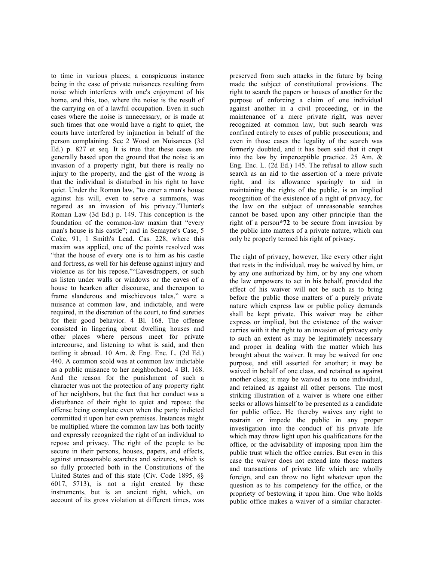to time in various places; a conspicuous instance being in the case of private nuisances resulting from noise which interferes with one's enjoyment of his home, and this, too, where the noise is the result of the carrying on of a lawful occupation. Even in such cases where the noise is unnecessary, or is made at such times that one would have a right to quiet, the courts have interfered by injunction in behalf of the person complaining. See 2 Wood on Nuisances (3d Ed.) p. 827 et seq. It is true that these cases are generally based upon the ground that the noise is an invasion of a property right, but there is really no injury to the property, and the gist of the wrong is that the individual is disturbed in his right to have quiet. Under the Roman law, "to enter a man's house against his will, even to serve a summons, was regared as an invasion of his privacy."Hunter's Roman Law (3d Ed.) p. 149. This conception is the foundation of the common-law maxim that "every man's house is his castle"; and in Semayne's Case, 5 Coke, 91, 1 Smith's Lead. Cas. 228, where this maxim was applied, one of the points resolved was "that the house of every one is to him as his castle and fortress, as well for his defense against injury and violence as for his repose.""Eavesdroppers, or such as listen under walls or windows or the eaves of a house to hearken after discourse, and thereupon to frame slanderous and mischievous tales," were a nuisance at common law, and indictable, and were required, in the discretion of the court, to find sureties for their good behavior. 4 Bl. 168. The offense consisted in lingering about dwelling houses and other places where persons meet for private intercourse, and listening to what is said, and then tattling it abroad. 10 Am. & Eng. Enc. L. (2d Ed.) 440. A common scold was at common law indictable as a public nuisance to her neighborhood. 4 Bl. 168. And the reason for the punishment of such a character was not the protection of any property right of her neighbors, but the fact that her conduct was a disturbance of their right to quiet and repose; the offense being complete even when the party indicted committed it upon her own premises. Instances might be multiplied where the common law has both tacitly and expressly recognized the right of an individual to repose and privacy. The right of the people to be secure in their persons, houses, papers, and effects, against unreasonable searches and seizures, which is so fully protected both in the Constitutions of the United States and of this state (Civ. Code 1895, §§ 6017, 5713), is not a right created by these instruments, but is an ancient right, which, on account of its gross violation at different times, was

preserved from such attacks in the future by being made the subject of constitutional provisions. The right to search the papers or houses of another for the purpose of enforcing a claim of one individual against another in a civil proceeding, or in the maintenance of a mere private right, was never recognized at common law, but such search was confined entirely to cases of public prosecutions; and even in those cases the legality of the search was formerly doubted, and it has been said that it crept into the law by imperceptible practice. 25 Am. & Eng. Enc. L. (2d Ed.) 145. The refusal to allow such search as an aid to the assertion of a mere private right, and its allowance sparingly to aid in maintaining the rights of the public, is an implied recognition of the existence of a right of privacy, for the law on the subject of unreasonable searches cannot be based upon any other principle than the right of a person**\*72** to be secure from invasion by the public into matters of a private nature, which can only be properly termed his right of privacy.

The right of privacy, however, like every other right that rests in the individual, may be waived by him, or by any one authorized by him, or by any one whom the law empowers to act in his behalf, provided the effect of his waiver will not be such as to bring before the public those matters of a purely private nature which express law or public policy demands shall be kept private. This waiver may be either express or implied, but the existence of the waiver carries with it the right to an invasion of privacy only to such an extent as may be legitimately necessary and proper in dealing with the matter which has brought about the waiver. It may be waived for one purpose, and still asserted for another; it may be waived in behalf of one class, and retained as against another class; it may be waived as to one individual, and retained as against all other persons. The most striking illustration of a waiver is where one either seeks or allows himself to be presented as a candidate for public office. He thereby waives any right to restrain or impede the public in any proper investigation into the conduct of his private life which may throw light upon his qualifications for the office, or the advisability of imposing upon him the public trust which the office carries. But even in this case the waiver does not extend into those matters and transactions of private life which are wholly foreign, and can throw no light whatever upon the question as to his competency for the office, or the propriety of bestowing it upon him. One who holds public office makes a waiver of a similar character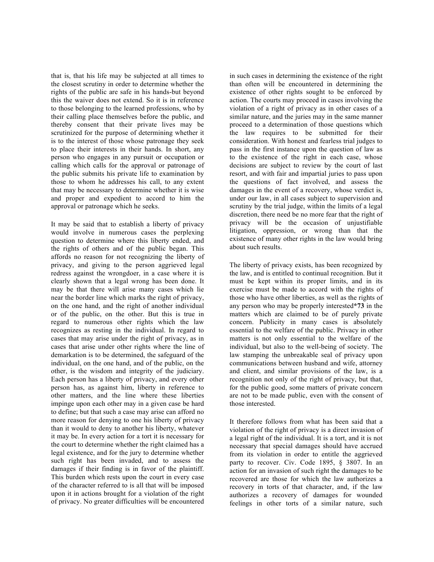that is, that his life may be subjected at all times to the closest scrutiny in order to determine whether the rights of the public are safe in his hands-but beyond this the waiver does not extend. So it is in reference to those belonging to the learned professions, who by their calling place themselves before the public, and thereby consent that their private lives may be scrutinized for the purpose of determining whether it is to the interest of those whose patronage they seek to place their interests in their hands. In short, any person who engages in any pursuit or occupation or calling which calls for the approval or patronage of the public submits his private life to examination by those to whom he addresses his call, to any extent that may be necessary to determine whether it is wise and proper and expedient to accord to him the approval or patronage which he seeks.

It may be said that to establish a liberty of privacy would involve in numerous cases the perplexing question to determine where this liberty ended, and the rights of others and of the public began. This affords no reason for not recognizing the liberty of privacy, and giving to the person aggrieved legal redress against the wrongdoer, in a case where it is clearly shown that a legal wrong has been done. It may be that there will arise many cases which lie near the border line which marks the right of privacy, on the one hand, and the right of another individual or of the public, on the other. But this is true in regard to numerous other rights which the law recognizes as resting in the individual. In regard to cases that may arise under the right of privacy, as in cases that arise under other rights where the line of demarkation is to be determined, the safeguard of the individual, on the one hand, and of the public, on the other, is the wisdom and integrity of the judiciary. Each person has a liberty of privacy, and every other person has, as against him, liberty in reference to other matters, and the line where these liberties impinge upon each other may in a given case be hard to define; but that such a case may arise can afford no more reason for denying to one his liberty of privacy than it would to deny to another his liberty, whatever it may be. In every action for a tort it is necessary for the court to determine whether the right claimed has a legal existence, and for the jury to determine whether such right has been invaded, and to assess the damages if their finding is in favor of the plaintiff. This burden which rests upon the court in every case of the character referred to is all that will be imposed upon it in actions brought for a violation of the right of privacy. No greater difficulties will be encountered

in such cases in determining the existence of the right than often will be encountered in determining the existence of other rights sought to be enforced by action. The courts may proceed in cases involving the violation of a right of privacy as in other cases of a similar nature, and the juries may in the same manner proceed to a determination of those questions which the law requires to be submitted for their consideration. With honest and fearless trial judges to pass in the first instance upon the question of law as to the existence of the right in each case, whose decisions are subject to review by the court of last resort, and with fair and impartial juries to pass upon the questions of fact involved, and assess the damages in the event of a recovery, whose verdict is, under our law, in all cases subject to supervision and scrutiny by the trial judge, within the limits of a legal discretion, there need be no more fear that the right of privacy will be the occasion of unjustifiable litigation, oppression, or wrong than that the existence of many other rights in the law would bring about such results.

The liberty of privacy exists, has been recognized by the law, and is entitled to continual recognition. But it must be kept within its proper limits, and in its exercise must be made to accord with the rights of those who have other liberties, as well as the rights of any person who may be properly interested**\*73** in the matters which are claimed to be of purely private concern. Publicity in many cases is absolutely essential to the welfare of the public. Privacy in other matters is not only essential to the welfare of the individual, but also to the well-being of society. The law stamping the unbreakable seal of privacy upon communications between husband and wife, attorney and client, and similar provisions of the law, is a recognition not only of the right of privacy, but that, for the public good, some matters of private concern are not to be made public, even with the consent of those interested.

It therefore follows from what has been said that a violation of the right of privacy is a direct invasion of a legal right of the individual. It is a tort, and it is not necessary that special damages should have accrued from its violation in order to entitle the aggrieved party to recover. Civ. Code 1895, § 3807. In an action for an invasion of such right the damages to be recovered are those for which the law authorizes a recovery in torts of that character, and, if the law authorizes a recovery of damages for wounded feelings in other torts of a similar nature, such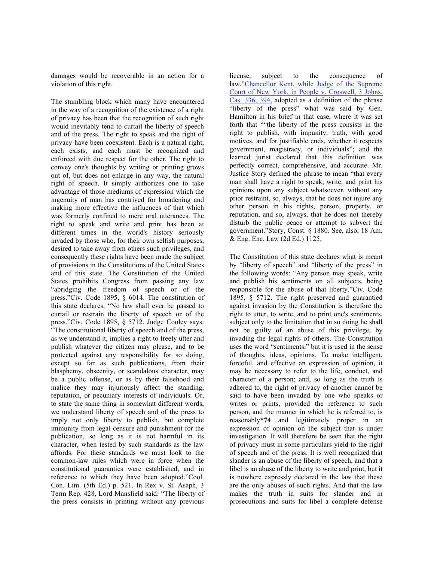damages would be recoverable in an action for a violation of this right.

The stumbling block which many have encountered in the way of a recognition of the existence of a right of privacy has been that the recognition of such right would inevitably tend to curtail the liberty of speech and of the press. The right to speak and the right of privacy have been coexistent. Each is a natural right, each exists, and each must be recognized and enforced with due respect for the other. The right to convey one's thoughts by writing or printing grows out of, but does not enlarge in any way, the natural right of speech. It simply authorizes one to take advantage of those mediums of expression which the ingenuity of man has contrived for broadening and making more effective the influences of that which was formerly confined to mere oral utterances. The right to speak and write and print has been at different times in the world's history seriously invaded by those who, for their own selfish purposes, desired to take away from others such privileges, and consequently these rights have been made the subject of provisions in the Constitutions of the United States and of this state. The Constitution of the United States prohibits Congress from passing any law "abridging the freedom of speech or of the press."Civ. Code 1895, § 6014. The constitution of this state declares, "No law shall ever be passed to curtail or restrain the liberty of speech or of the press."Civ. Code 1895, § 5712. Judge Cooley says: "The constitutional liberty of speech and of the press, as we understand it, implies a right to freely utter and publish whatever the citizen may please, and to be protected against any responsibility for so doing, except so far as such publications, from their blasphemy, obscenity, or scandalous character, may be a public offense, or as by their falsehood and malice they may injuriously affect the standing, reputation, or pecuniary interests of individuals. Or, to state the same thing in somewhat different words, we understand liberty of speech and of the press to imply not only liberty to publish, but complete immunity from legal censure and punishment for the publication, so long as it is not harmful in its character, when tested by such standards as the law affords. For these standards we must look to the common-law rules which were in force when the constitutional guaranties were established, and in reference to which they have been adopted."Cool. Con. Lim. (5th Ed.) p. 521. In Rex v. St. Asaph, 3 Term Rep. 428, Lord Mansfield said: "The liberty of the press consists in printing without any previous

license, subject to the consequence of law."Chancellor Kent, while Judge of the Supreme Court of New York, in People v. Croswell, 3 Johns. Cas. 336, 394, adopted as a definition of the phrase "liberty of the press" what was said by Gen. Hamilton in his brief in that case, where it was set forth that ""the liberty of the press consists in the right to publish, with impunity, truth, with good motives, and for justifiable ends, whether it respects government, magistracy, or individuals"; and the learned jurist declared that this definition was perfectly correct, comprehensive, and accurate. Mr. Justice Story defined the phrase to mean "that every man shall have a right to speak, write, and print his opinions upon any subject whatsoever, without any prior restraint, so, always, that he does not injure any other person in his rights, person, property, or reputation, and so, always, that he does not thereby disturb the public peace or attempt to subvert the government."Story, Const. § 1880. See, also, 18 Am. & Eng. Enc. Law (2d Ed.) 1125.

The Constitution of this state declares what is meant by "liberty of speech" and "liberty of the press" in the following words: "Any person may speak, write and publish his sentiments on all subjects, being responsible for the abuse of that liberty."Civ. Code 1895, § 5712. The right preserved and guarantied against invasion by the Constitution is therefore the right to utter, to write, and to print one's sentiments, subject only to the limitation that in so doing he shall not be guilty of an abuse of this privilege, by invading the legal rights of others. The Constitution uses the word "sentiments," but it is used in the sense of thoughts, ideas, opinions. To make intelligent, forceful, and effective an expression of opinion, it may be necessary to refer to the life, conduct, and character of a person; and, so long as the truth is adhered to, the right of privacy of another cannot be said to have been invaded by one who speaks or writes or prints, provided the reference to such person, and the manner in which he is referred to, is reasonably**\*74** and legitimately proper in an expression of opinion on the subject that is under investigation. It will therefore be seen that the right of privacy must in some particulars yield to the right of speech and of the press. It is well recognized that slander is an abuse of the liberty of speech, and that a libel is an abuse of the liberty to write and print, but it is nowhere expressly declared in the law that these are the only abuses of such rights. And that the law makes the truth in suits for slander and in prosecutions and suits for libel a complete defense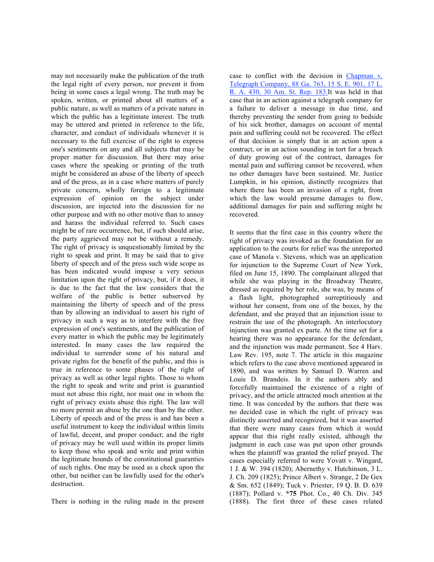may not necessarily make the publication of the truth the legal right of every person, nor prevent it from being in some cases a legal wrong. The truth may be spoken, written, or printed about all matters of a public nature, as well as matters of a private nature in which the public has a legitimate interest. The truth may be uttered and printed in reference to the life, character, and conduct of individuals whenever it is necessary to the full exercise of the right to express one's sentiments on any and all subjects that may be proper matter for discussion. But there may arise cases where the speaking or printing of the truth might be considered an abuse of the liberty of speech and of the press, as in a case where matters of purely private concern, wholly foreign to a legitimate expression of opinion on the subject under discussion, are injected into the discussion for no other purpose and with no other motive than to annoy and harass the individual referred to. Such cases might be of rare occurrence, but, if such should arise, the party aggrieved may not be without a remedy. The right of privacy is unquestionably limited by the right to speak and print. It may be said that to give liberty of speech and of the press such wide scope as has been indicated would impose a very serious limitation upon the right of privacy, but, if it does, it is due to the fact that the law considers that the welfare of the public is better subserved by maintaining the liberty of speech and of the press than by allowing an individual to assert his right of privacy in such a way as to interfere with the free expression of one's sentiments, and the publication of every matter in which the public may be legitimately interested. In many cases the law required the individual to surrender some of his natural and private rights for the benefit of the public, and this is true in reference to some phases of the right of privacy as well as other legal rights. Those to whom the right to speak and write and print is guarantied must not abuse this right, nor must one in whom the right of privacy exists abuse this right. The law will no more permit an abuse by the one than by the other. Liberty of speech and of the press is and has been a useful instrument to keep the individual within limits of lawful, decent, and proper conduct; and the right of privacy may be well used within its proper limits to keep those who speak and write and print within the legitimate bounds of the constitutional guaranties of such rights. One may be used as a check upon the other, but neither can be lawfully used for the other's destruction.

There is nothing in the ruling made in the present

case to conflict with the decision in Chapman v. Telegraph Company, 88 Ga. 763, 15 S. E. 901, 17 L. R. A. 430, 30 Am. St. Rep. 183.It was held in that case that in an action against a telegraph company for a failure to deliver a message in due time, and thereby preventing the sender from going to bedside of his sick brother, damages on account of mental pain and suffering could not be recovered. The effect of that decision is simply that in an action upon a contract, or in an action sounding in tort for a breach of duty growing out of the contract, damages for mental pain and suffering cannot be recovered, when no other damages have been sustained. Mr. Justice Lumpkin, in his opinion, distinctly recognizes that where there has been an invasion of a right, from which the law would presume damages to flow, additional damages for pain and suffering might be recovered.

It seems that the first case in this country where the right of privacy was invoked as the foundation for an application to the courts for relief was the unreported case of Manola v. Stevens, which was an application for injunction to the Supreme Court of New York, filed on June 15, 1890. The complainant alleged that while she was playing in the Broadway Theatre, dressed as required by her role, she was, by means of a flash light, photographed surreptitiously and without her consent, from one of the boxes, by the defendant, and she prayed that an injunction issue to restrain the use of the photograph. An interlocutory injunction was granted ex parte. At the time set for a hearing there was no appearance for the defendant, and the injunction was made permanent. See 4 Harv. Law Rev. 195, note 7. The article in this magazine which refers to the case above mentioned appeared in 1890, and was written by Samuel D. Warren and Louis D. Brandeis. In it the authors ably and forcefully maintained the existence of a right of privacy, and the article attracted much attention at the time. It was conceded by the authors that there was no decided case in which the right of privacy was distinctly asserted and recognized, but it was asserted that there were many cases from which it would appear that this right really existed, although the judgment in each case was put upon other grounds when the plaintiff was granted the relief prayed. The cases especially referred to were Yovatt v. Wingard, 1 J. & W. 394 (1820); Abernethy v. Hutchinson, 3 L. J. Ch. 209 (1825); Prince Albert v. Strange, 2 De Gex & Sm. 652 (1849); Tuck v. Priester, 19 Q. B. D. 639 (1887); Pollard v. **\*75** Phot. Co., 40 Ch. Div. 345 (1888). The first three of these cases related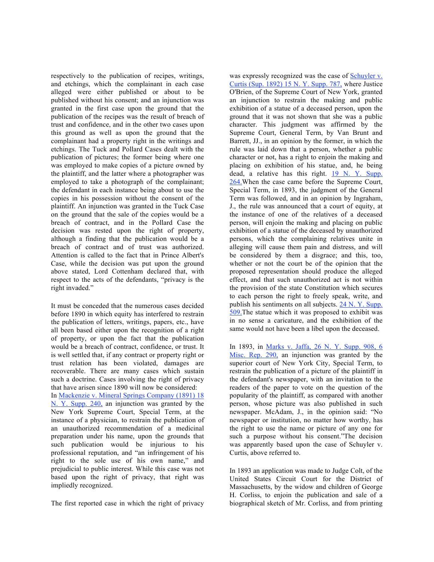respectively to the publication of recipes, writings, and etchings, which the complainant in each case alleged were either published or about to be published without his consent; and an injunction was granted in the first case upon the ground that the publication of the recipes was the result of breach of trust and confidence, and in the other two cases upon this ground as well as upon the ground that the complainant had a property right in the writings and etchings. The Tuck and Pollard Cases dealt with the publication of pictures; the former being where one was employed to make copies of a picture owned by the plaintiff, and the latter where a photographer was employed to take a photograph of the complainant; the defendant in each instance being about to use the copies in his possession without the consent of the plaintiff. An injunction was granted in the Tuck Case on the ground that the sale of the copies would be a breach of contract, and in the Pollard Case the decision was rested upon the right of property, although a finding that the publication would be a breach of contract and of trust was authorized. Attention is called to the fact that in Prince Albert's Case, while the decision was put upon the ground above stated, Lord Cottenham declared that, with respect to the acts of the defendants, "privacy is the right invaded."

It must be conceded that the numerous cases decided before 1890 in which equity has interfered to restrain the publication of letters, writings, papers, etc., have all been based either upon the recognition of a right of property, or upon the fact that the publication would be a breach of contract, confidence, or trust. It is well settled that, if any contract or property right or trust relation has been violated, damages are recoverable. There are many cases which sustain such a doctrine. Cases involving the right of privacy that have arisen since 1890 will now be considered: In Mackenzie v. Mineral Springs Company (1891) 18 N. Y. Supp. 240, an injunction was granted by the New York Supreme Court, Special Term, at the instance of a physician, to restrain the publication of an unauthorized recommendation of a medicinal preparation under his name, upon the grounds that such publication would be injurious to his professional reputation, and "an infringement of his right to the sole use of his own name," and prejudicial to public interest. While this case was not based upon the right of privacy, that right was impliedly recognized.

The first reported case in which the right of privacy

was expressly recognized was the case of **Schuyler v.** Curtis (Sup. 1892) 15 N. Y. Supp. 787, where Justice O'Brien, of the Supreme Court of New York, granted an injunction to restrain the making and public exhibition of a statue of a deceased person, upon the ground that it was not shown that she was a public character. This judgment was affirmed by the Supreme Court, General Term, by Van Brunt and Barrett, JJ., in an opinion by the former, in which the rule was laid down that a person, whether a public character or not, has a right to enjoin the making and placing on exhibition of his statue, and, he being dead, a relative has this right. 19 N. Y. Supp. 264. When the case came before the Supreme Court, Special Term, in 1893, the judgment of the General Term was followed, and in an opinion by Ingraham, J., the rule was announced that a court of equity, at the instance of one of the relatives of a deceased person, will enjoin the making and placing on public exhibition of a statue of the deceased by unauthorized persons, which the complaining relatives unite in alleging will cause them pain and distress, and will be considered by them a disgrace; and this, too, whether or not the court be of the opinion that the proposed representation should produce the alleged effect, and that such unauthorized act is not within the provision of the state Constitution which secures to each person the right to freely speak, write, and publish his sentiments on all subjects. 24 N. Y. Supp. 509.The statue which it was proposed to exhibit was in no sense a caricature, and the exhibition of the same would not have been a libel upon the deceased.

In 1893, in Marks v. Jaffa, 26 N. Y. Supp. 908, 6 Misc. Rep. 290, an injunction was granted by the superior court of New York City, Special Term, to restrain the publication of a picture of the plaintiff in the defendant's newspaper, with an invitation to the readers of the paper to vote on the question of the popularity of the plaintiff, as compared with another person, whose picture was also published in such newspaper. McAdam, J., in the opinion said: "No newspaper or institution, no matter how worthy, has the right to use the name or picture of any one for such a purpose without his consent."The decision was apparently based upon the case of Schuyler v. Curtis, above referred to.

In 1893 an application was made to Judge Colt, of the United States Circuit Court for the District of Massachusetts, by the widow and children of George H. Corliss, to enjoin the publication and sale of a biographical sketch of Mr. Corliss, and from printing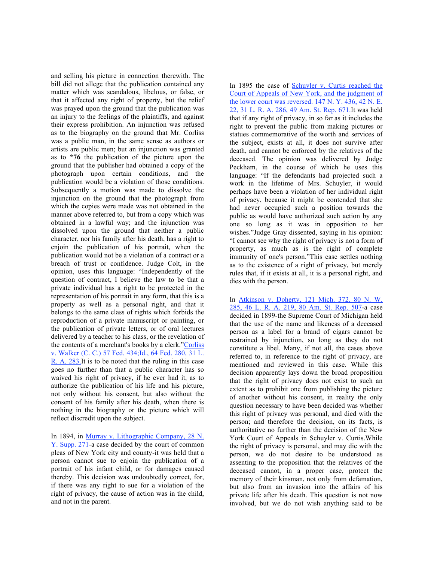and selling his picture in connection therewith. The bill did not allege that the publication contained any matter which was scandalous, libelous, or false, or that it affected any right of property, but the relief was prayed upon the ground that the publication was an injury to the feelings of the plaintiffs, and against their express prohibition. An injunction was refused as to the biography on the ground that Mr. Corliss was a public man, in the same sense as authors or artists are public men; but an injunction was granted as to **\*76** the publication of the picture upon the ground that the publisher had obtained a copy of the photograph upon certain conditions, and the publication would be a violation of those conditions. Subsequently a motion was made to dissolve the injunction on the ground that the photograph from which the copies were made was not obtained in the manner above referred to, but from a copy which was obtained in a lawful way; and the injunction was dissolved upon the ground that neither a public character, nor his family after his death, has a right to enjoin the publication of his portrait, when the publication would not be a violation of a contract or a breach of trust or confidence. Judge Colt, in the opinion, uses this language: "Independently of the question of contract, I believe the law to be that a private individual has a right to be protected in the representation of his portrait in any form, that this is a property as well as a personal right, and that it belongs to the same class of rights which forbids the reproduction of a private manuscript or painting, or the publication of private letters, or of oral lectures delivered by a teacher to his class, or the revelation of the contents of a merchant's books by a clerk."Corliss v. Walker (C. C.) 57 Fed. 434;Id., 64 Fed. 280, 31 L. R. A. 283.It is to be noted that the ruling in this case goes no further than that a public character has so waived his right of privacy, if he ever had it, as to authorize the publication of his life and his picture, not only without his consent, but also without the consent of his family after his death, when there is nothing in the biography or the picture which will reflect discredit upon the subject.

In 1894, in Murray v. Lithographic Company, 28 N. Y. Supp. 271-a case decided by the court of common pleas of New York city and county-it was held that a person cannot sue to enjoin the publication of a portrait of his infant child, or for damages caused thereby. This decision was undoubtedly correct, for, if there was any right to sue for a violation of the right of privacy, the cause of action was in the child, and not in the parent.

In 1895 the case of Schuyler v. Curtis reached the Court of Appeals of New York, and the judgment of the lower court was reversed. 147 N.Y. 436, 42 N.E. 22, 31 L. R. A. 286, 49 Am. St. Rep. 671.It was held that if any right of privacy, in so far as it includes the right to prevent the public from making pictures or statues commemorative of the worth and services of the subject, exists at all, it does not survive after death, and cannot be enforced by the relatives of the deceased. The opinion was delivered by Judge Peckham, in the course of which he uses this language: "If the defendants had projected such a work in the lifetime of Mrs. Schuyler, it would perhaps have been a violation of her individual right of privacy, because it might be contended that she had never occupied such a position towards the public as would have authorized such action by any one so long as it was in opposition to her wishes."Judge Gray dissented, saying in his opinion: "I cannot see why the right of privacy is not a form of property, as much as is the right of complete immunity of one's person."This case settles nothing as to the existence of a right of privacy, but merely rules that, if it exists at all, it is a personal right, and dies with the person.

In Atkinson v. Doherty, 121 Mich. 372, 80 N. W. 285, 46 L. R. A. 219, 80 Am. St. Rep. 507-a case decided in 1899-the Supreme Court of Michigan held that the use of the name and likeness of a deceased person as a label for a brand of cigars cannot be restrained by injunction, so long as they do not constitute a libel. Many, if not all, the cases above referred to, in reference to the right of privacy, are mentioned and reviewed in this case. While this decision apparently lays down the broad proposition that the right of privacy does not exist to such an extent as to prohibit one from publishing the picture of another without his consent, in reality the only question necessary to have been decided was whether this right of privacy was personal, and died with the person; and therefore the decision, on its facts, is authoritative no further than the decision of the New York Court of Appeals in Schuyler v. Curtis.While the right of privacy is personal, and may die with the person, we do not desire to be understood as assenting to the proposition that the relatives of the deceased cannot, in a proper case, protect the memory of their kinsman, not only from defamation, but also from an invasion into the affairs of his private life after his death. This question is not now involved, but we do not wish anything said to be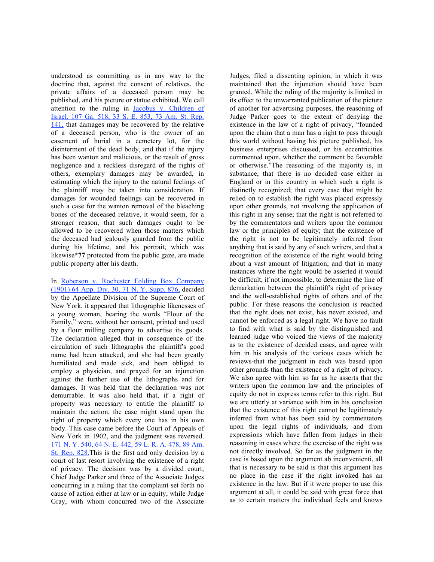understood as committing us in any way to the doctrine that, against the consent of relatives, the private affairs of a deceased person may be published, and his picture or statue exhibited. We call attention to the ruling in Jacobus v. Children of Israel, 107 Ga. 518, 33 S. E. 853, 73 Am. St. Rep. 141, that damages may be recovered by the relative of a deceased person, who is the owner of an easement of burial in a cemetery lot, for the disinterment of the dead body, and that if the injury has been wanton and malicious, or the result of gross negligence and a reckless disregard of the rights of others, exemplary damages may be awarded, in estimating which the injury to the natural feelings of the plaintiff may be taken into consideration. If damages for wounded feelings can be recovered in such a case for the wanton removal of the bleaching bones of the deceased relative, it would seem, for a stronger reason, that such damages ought to be allowed to be recovered when those matters which the deceased had jealously guarded from the public during his lifetime, and his portrait, which was likewise**\*77** protected from the public gaze, are made public property after his death.

## In Roberson v. Rochester Folding Box Company

(1901) 64 App. Div. 30, 71 N. Y. Supp. 876, decided by the Appellate Division of the Supreme Court of New York, it appeared that lithographic likenesses of a young woman, bearing the words "Flour of the Family," were, without her consent, printed and used by a flour milling company to advertise its goods. The declaration alleged that in consequence of the circulation of such lithographs the plaintiff's good name had been attacked, and she had been greatly humiliated and made sick, and been obliged to employ a physician, and prayed for an injunction against the further use of the lithographs and for damages. It was held that the declaration was not demurrable. It was also held that, if a right of property was necessary to entitle the plaintiff to maintain the action, the case might stand upon the right of property which every one has in his own body. This case came before the Court of Appeals of New York in 1902, and the judgment was reversed. 171 N. Y. 540, 64 N. E. 442, 59 L. R. A. 478, 89 Am. St. Rep. 828.This is the first and only decision by a court of last resort involving the existence of a right of privacy. The decision was by a divided court; Chief Judge Parker and three of the Associate Judges concurring in a ruling that the complaint set forth no cause of action either at law or in equity, while Judge Gray, with whom concurred two of the Associate

Judges, filed a dissenting opinion, in which it was maintained that the injunction should have been granted. While the ruling of the majority is limited in its effect to the unwarranted publication of the picture of another for advertising purposes, the reasoning of Judge Parker goes to the extent of denying the existence in the law of a right of privacy, "founded upon the claim that a man has a right to pass through this world without having his picture published, his business enterprises discussed, or his eccentricities commented upon, whether the comment be favorable or otherwise."The reasoning of the majority is, in substance, that there is no decided case either in England or in this country in which such a right is distinctly recognized; that every case that might be relied on to establish the right was placed expressly upon other grounds, not involving the application of this right in any sense; that the right is not referred to by the commentators and writers upon the common law or the principles of equity; that the existence of the right is not to be legitimately inferred from anything that is said by any of such writers, and that a recognition of the existence of the right would bring about a vast amount of litigation; and that in many instances where the right would be asserted it would be difficult, if not impossible, to determine the line of demarkation between the plaintiff's right of privacy and the well-established rights of others and of the public. For these reasons the conclusion is reached that the right does not exist, has never existed, and cannot be enforced as a legal right. We have no fault to find with what is said by the distinguished and learned judge who voiced the views of the majority as to the existence of decided cases, and agree with him in his analysis of the various cases which he reviews-that the judgment in each was based upon other grounds than the existence of a right of privacy. We also agree with him so far as he asserts that the writers upon the common law and the principles of equity do not in express terms refer to this right. But we are utterly at variance with him in his conclusion that the existence of this right cannot be legitimately inferred from what has been said by commentators upon the legal rights of individuals, and from expressions which have fallen from judges in their reasoning in cases where the exercise of the right was not directly involved. So far as the judgment in the case is based upon the argument ab inconvenienti, all that is necessary to be said is that this argument has no place in the case if the right invoked has an existence in the law. But if it were proper to use this argument at all, it could be said with great force that as to certain matters the individual feels and knows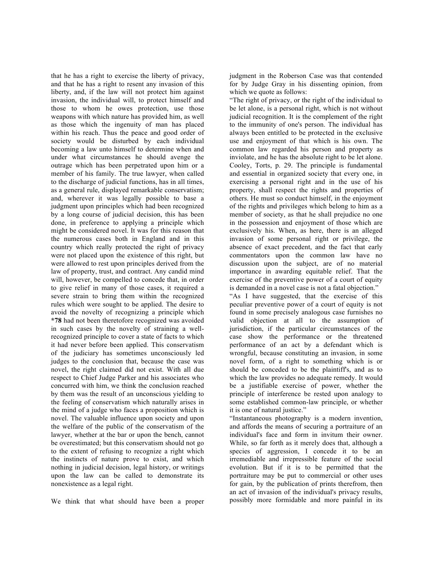that he has a right to exercise the liberty of privacy, and that he has a right to resent any invasion of this liberty, and, if the law will not protect him against invasion, the individual will, to protect himself and those to whom he owes protection, use those weapons with which nature has provided him, as well as those which the ingenuity of man has placed within his reach. Thus the peace and good order of society would be disturbed by each individual becoming a law unto himself to determine when and under what circumstances he should avenge the outrage which has been perpetrated upon him or a member of his family. The true lawyer, when called to the discharge of judicial functions, has in all times, as a general rule, displayed remarkable conservatism; and, wherever it was legally possible to base a judgment upon principles which had been recognized by a long course of judicial decision, this has been done, in preference to applying a principle which might be considered novel. It was for this reason that the numerous cases both in England and in this country which really protected the right of privacy were not placed upon the existence of this right, but were allowed to rest upon principles derived from the law of property, trust, and contract. Any candid mind will, however, be compelled to concede that, in order to give relief in many of those cases, it required a severe strain to bring them within the recognized rules which were sought to be applied. The desire to avoid the novelty of recognizing a principle which **\*78** had not been theretofore recognized was avoided in such cases by the novelty of straining a wellrecognized principle to cover a state of facts to which it had never before been applied. This conservatism of the judiciary has sometimes unconsciously led judges to the conclusion that, because the case was novel, the right claimed did not exist. With all due respect to Chief Judge Parker and his associates who concurred with him, we think the conclusion reached by them was the result of an unconscious yielding to the feeling of conservatism which naturally arises in the mind of a judge who faces a proposition which is novel. The valuable influence upon society and upon the welfare of the public of the conservatism of the lawyer, whether at the bar or upon the bench, cannot be overestimated; but this conservatism should not go to the extent of refusing to recognize a right which the instincts of nature prove to exist, and which nothing in judicial decision, legal history, or writings upon the law can be called to demonstrate its nonexistence as a legal right.

We think that what should have been a proper

judgment in the Roberson Case was that contended for by Judge Gray in his dissenting opinion, from which we quote as follows:

"The right of privacy, or the right of the individual to be let alone, is a personal right, which is not without judicial recognition. It is the complement of the right to the immunity of one's person. The individual has always been entitled to be protected in the exclusive use and enjoyment of that which is his own. The common law regarded his person and property as inviolate, and he has the absolute right to be let alone. Cooley, Torts, p. 29. The principle is fundamental and essential in organized society that every one, in exercising a personal right and in the use of his property, shall respect the rights and properties of others. He must so conduct himself, in the enjoyment of the rights and privileges which belong to him as a member of society, as that he shall prejudice no one in the possession and enjoyment of those which are exclusively his. When, as here, there is an alleged invasion of some personal right or privilege, the absence of exact precedent, and the fact that early commentators upon the common law have no discussion upon the subject, are of no material importance in awarding equitable relief. That the exercise of the preventive power of a court of equity is demanded in a novel case is not a fatal objection."

"As I have suggested, that the exercise of this peculiar preventive power of a court of equity is not found in some precisely analogous case furnishes no valid objection at all to the assumption of jurisdiction, if the particular circumstances of the case show the performance or the threatened performance of an act by a defendant which is wrongful, because constituting an invasion, in some novel form, of a right to something which is or should be conceded to be the plaintiff's, and as to which the law provides no adequate remedy. It would be a justifiable exercise of power, whether the principle of interference be rested upon analogy to some established common-law principle, or whether it is one of natural justice."

"Instantaneous photography is a modern invention, and affords the means of securing a portraiture of an individual's face and form in invitum their owner. While, so far forth as it merely does that, although a species of aggression, I concede it to be an irremediable and irrepressible feature of the social evolution. But if it is to be permitted that the portraiture may be put to commercial or other uses for gain, by the publication of prints therefrom, then an act of invasion of the individual's privacy results, possibly more formidable and more painful in its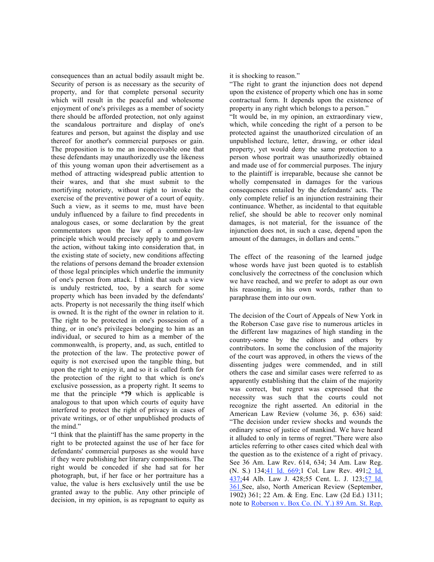consequences than an actual bodily assault might be. Security of person is as necessary as the security of property, and for that complete personal security which will result in the peaceful and wholesome enjoyment of one's privileges as a member of society there should be afforded protection, not only against the scandalous portraiture and display of one's features and person, but against the display and use thereof for another's commercial purposes or gain. The proposition is to me an inconceivable one that these defendants may unauthorizedly use the likeness of this young woman upon their advertisement as a method of attracting widespread public attention to their wares, and that she must submit to the mortifying notoriety, without right to invoke the exercise of the preventive power of a court of equity. Such a view, as it seems to me, must have been unduly influenced by a failure to find precedents in analogous cases, or some declaration by the great commentators upon the law of a common-law principle which would precisely apply to and govern the action, without taking into consideration that, in the existing state of society, new conditions affecting the relations of persons demand the broader extension of those legal principles which underlie the immunity of one's person from attack. I think that such a view is unduly restricted, too, by a search for some property which has been invaded by the defendants' acts. Property is not necessarily the thing itself which is owned. It is the right of the owner in relation to it. The right to be protected in one's possession of a thing, or in one's privileges belonging to him as an individual, or secured to him as a member of the commonwealth, is property, and, as such, entitled to the protection of the law. The protective power of equity is not exercised upon the tangible thing, but upon the right to enjoy it, and so it is called forth for the protection of the right to that which is one's exclusive possession, as a property right. It seems to me that the principle **\*79** which is applicable is analogous to that upon which courts of equity have interfered to protect the right of privacy in cases of private writings, or of other unpublished products of the mind."

"I think that the plaintiff has the same property in the right to be protected against the use of her face for defendants' commercial purposes as she would have if they were publishing her literary compositions. The right would be conceded if she had sat for her photograph, but, if her face or her portraiture has a value, the value is hers exclusively until the use be granted away to the public. Any other principle of decision, in my opinion, is as repugnant to equity as

it is shocking to reason."

"The right to grant the injunction does not depend upon the existence of property which one has in some contractual form. It depends upon the existence of property in any right which belongs to a person."

"It would be, in my opinion, an extraordinary view, which, while conceding the right of a person to be protected against the unauthorized circulation of an unpublished lecture, letter, drawing, or other ideal property, yet would deny the same protection to a person whose portrait was unauthorizedly obtained and made use of for commercial purposes. The injury to the plaintiff is irreparable, because she cannot be wholly compensated in damages for the various consequences entailed by the defendants' acts. The only complete relief is an injunction restraining their continuance. Whether, as incidental to that equitable relief, she should be able to recover only nominal damages, is not material, for the issuance of the injunction does not, in such a case, depend upon the amount of the damages, in dollars and cents."

The effect of the reasoning of the learned judge whose words have just been quoted is to establish conclusively the correctness of the conclusion which we have reached, and we prefer to adopt as our own his reasoning, in his own words, rather than to paraphrase them into our own.

The decision of the Court of Appeals of New York in the Roberson Case gave rise to numerous articles in the different law magazines of high standing in the country-some by the editors and others by contributors. In some the conclusion of the majority of the court was approved, in others the views of the dissenting judges were commended, and in still others the case and similar cases were referred to as apparently establishing that the claim of the majority was correct, but regret was expressed that the necessity was such that the courts could not recognize the right asserted. An editorial in the American Law Review (volume 36, p. 636) said: "The decision under review shocks and wounds the ordinary sense of justice of mankind. We have heard it alluded to only in terms of regret."There were also articles referring to other cases cited which deal with the question as to the existence of a right of privacy. See 36 Am. Law Rev. 614, 634; 34 Am. Law Reg. (N. S.) 134; 41 Id. 669; 1 Col. Law Rev. 491; 2 Id. 437;44 Alb. Law J. 428;55 Cent. L. J. 123;57 Id. 361.See, also, North American Review (September, 1902) 361; 22 Am. & Eng. Enc. Law (2d Ed.) 1311; note to Roberson v. Box Co. (N. Y.) 89 Am. St. Rep.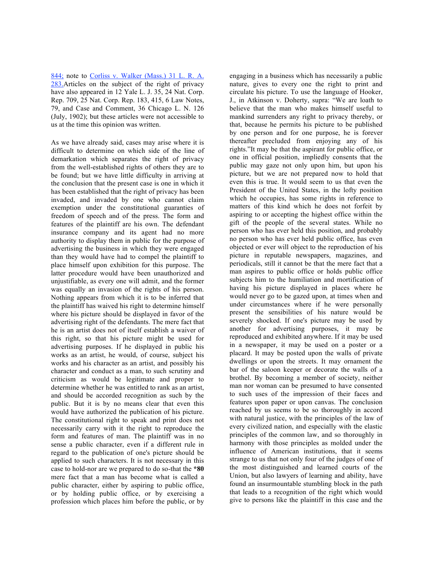844; note to Corliss v. Walker (Mass.) 31 L. R. A. 283.Articles on the subject of the right of privacy have also appeared in 12 Yale L. J. 35, 24 Nat. Corp. Rep. 709, 25 Nat. Corp. Rep. 183, 415, 6 Law Notes, 79, and Case and Comment, 36 Chicago L. N. 126 (July, 1902); but these articles were not accessible to us at the time this opinion was written.

As we have already said, cases may arise where it is difficult to determine on which side of the line of demarkation which separates the right of privacy from the well-established rights of others they are to be found; but we have little difficulty in arriving at the conclusion that the present case is one in which it has been established that the right of privacy has been invaded, and invaded by one who cannot claim exemption under the constitutional guaranties of freedom of speech and of the press. The form and features of the plaintiff are his own. The defendant insurance company and its agent had no more authority to display them in public for the purpose of advertising the business in which they were engaged than they would have had to compel the plaintiff to place himself upon exhibition for this purpose. The latter procedure would have been unauthorized and unjustifiable, as every one will admit, and the former was equally an invasion of the rights of his person. Nothing appears from which it is to be inferred that the plaintiff has waived his right to determine himself where his picture should be displayed in favor of the advertising right of the defendants. The mere fact that he is an artist does not of itself establish a waiver of this right, so that his picture might be used for advertising purposes. If he displayed in public his works as an artist, he would, of course, subject his works and his character as an artist, and possibly his character and conduct as a man, to such scrutiny and criticism as would be legitimate and proper to determine whether he was entitled to rank as an artist, and should be accorded recognition as such by the public. But it is by no means clear that even this would have authorized the publication of his picture. The constitutional right to speak and print does not necessarily carry with it the right to reproduce the form and features of man. The plaintiff was in no sense a public character, even if a different rule in regard to the publication of one's picture should be applied to such characters. It is not necessary in this case to hold-nor are we prepared to do so-that the **\*80** mere fact that a man has become what is called a public character, either by aspiring to public office, or by holding public office, or by exercising a profession which places him before the public, or by

engaging in a business which has necessarily a public nature, gives to every one the right to print and circulate his picture. To use the language of Hooker, J., in Atkinson v. Doherty, supra: "We are loath to believe that the man who makes himself useful to mankind surrenders any right to privacy thereby, or that, because he permits his picture to be published by one person and for one purpose, he is forever thereafter precluded from enjoying any of his rights."It may be that the aspirant for public office, or one in official position, impliedly consents that the public may gaze not only upon him, but upon his picture, but we are not prepared now to hold that even this is true. It would seem to us that even the President of the United States, in the lofty position which he occupies, has some rights in reference to matters of this kind which he does not forfeit by aspiring to or accepting the highest office within the gift of the people of the several states. While no person who has ever held this position, and probably no person who has ever held public office, has even objected or ever will object to the reproduction of his picture in reputable newspapers, magazines, and periodicals, still it cannot be that the mere fact that a man aspires to public office or holds public office subjects him to the humiliation and mortification of having his picture displayed in places where he would never go to be gazed upon, at times when and under circumstances where if he were personally present the sensibilities of his nature would be severely shocked. If one's picture may be used by another for advertising purposes, it may be reproduced and exhibited anywhere. If it may be used in a newspaper, it may be used on a poster or a placard. It may be posted upon the walls of private dwellings or upon the streets. It may ornament the bar of the saloon keeper or decorate the walls of a brothel. By becoming a member of society, neither man nor woman can be presumed to have consented to such uses of the impression of their faces and features upon paper or upon canvas. The conclusion reached by us seems to be so thoroughly in accord with natural justice, with the principles of the law of every civilized nation, and especially with the elastic principles of the common law, and so thoroughly in harmony with those principles as molded under the influence of American institutions, that it seems strange to us that not only four of the judges of one of the most distinguished and learned courts of the Union, but also lawyers of learning and ability, have found an insurmountable stumbling block in the path that leads to a recognition of the right which would give to persons like the plaintiff in this case and the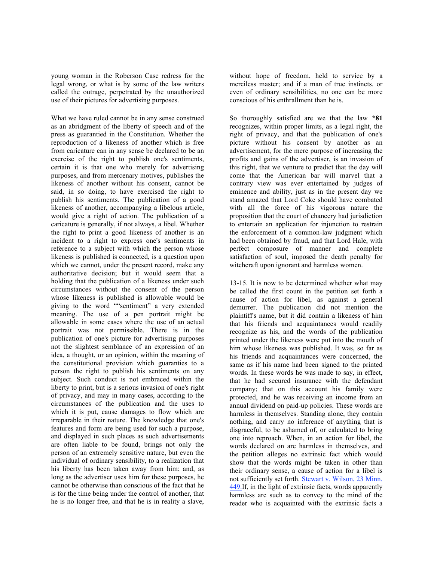young woman in the Roberson Case redress for the legal wrong, or what is by some of the law writers called the outrage, perpetrated by the unauthorized use of their pictures for advertising purposes.

What we have ruled cannot be in any sense construed as an abridgment of the liberty of speech and of the press as guarantied in the Constitution. Whether the reproduction of a likeness of another which is free from caricature can in any sense be declared to be an exercise of the right to publish one's sentiments, certain it is that one who merely for advertising purposes, and from mercenary motives, publishes the likeness of another without his consent, cannot be said, in so doing, to have exercised the right to publish his sentiments. The publication of a good likeness of another, accompanying a libelous article, would give a right of action. The publication of a caricature is generally, if not always, a libel. Whether the right to print a good likeness of another is an incident to a right to express one's sentiments in reference to a subject with which the person whose likeness is published is connected, is a question upon which we cannot, under the present record, make any authoritative decision; but it would seem that a holding that the publication of a likeness under such circumstances without the consent of the person whose likeness is published is allowable would be giving to the word ""sentiment" a very extended meaning. The use of a pen portrait might be allowable in some cases where the use of an actual portrait was not permissible. There is in the publication of one's picture for advertising purposes not the slightest semblance of an expression of an idea, a thought, or an opinion, within the meaning of the constitutional provision which guaranties to a person the right to publish his sentiments on any subject. Such conduct is not embraced within the liberty to print, but is a serious invasion of one's right of privacy, and may in many cases, according to the circumstances of the publication and the uses to which it is put, cause damages to flow which are irreparable in their nature. The knowledge that one's features and form are being used for such a purpose, and displayed in such places as such advertisements are often liable to be found, brings not only the person of an extremely sensitive nature, but even the individual of ordinary sensibility, to a realization that his liberty has been taken away from him; and, as long as the advertiser uses him for these purposes, he cannot be otherwise than conscious of the fact that he is for the time being under the control of another, that he is no longer free, and that he is in reality a slave,

without hope of freedom, held to service by a merciless master; and if a man of true instincts. or even of ordinary sensibilities, no one can be more conscious of his enthrallment than he is.

So thoroughly satisfied are we that the law **\*81** recognizes, within proper limits, as a legal right, the right of privacy, and that the publication of one's picture without his consent by another as an advertisement, for the mere purpose of increasing the profits and gains of the advertiser, is an invasion of this right, that we venture to predict that the day will come that the American bar will marvel that a contrary view was ever entertained by judges of eminence and ability, just as in the present day we stand amazed that Lord Coke should have combated with all the force of his vigorous nature the proposition that the court of chancery had jurisdiction to entertain an application for injunction to restrain the enforcement of a common-law judgment which had been obtained by fraud, and that Lord Hale, with perfect composure of manner and complete satisfaction of soul, imposed the death penalty for witchcraft upon ignorant and harmless women.

13-15. It is now to be determined whether what may be called the first count in the petition set forth a cause of action for libel, as against a general demurrer. The publication did not mention the plaintiff's name, but it did contain a likeness of him that his friends and acquaintances would readily recognize as his, and the words of the publication printed under the likeness were put into the mouth of him whose likeness was published. It was, so far as his friends and acquaintances were concerned, the same as if his name had been signed to the printed words. In these words he was made to say, in effect, that he had secured insurance with the defendant company; that on this account his family were protected, and he was receiving an income from an annual dividend on paid-up policies. These words are harmless in themselves. Standing alone, they contain nothing, and carry no inference of anything that is disgraceful, to be ashamed of, or calculated to bring one into reproach. When, in an action for libel, the words declared on are harmless in themselves, and the petition alleges no extrinsic fact which would show that the words might be taken in other than their ordinary sense, a cause of action for a libel is not sufficiently set forth. Stewart v. Wilson, 23 Minn. 449.If, in the light of extrinsic facts, words apparently harmless are such as to convey to the mind of the reader who is acquainted with the extrinsic facts a